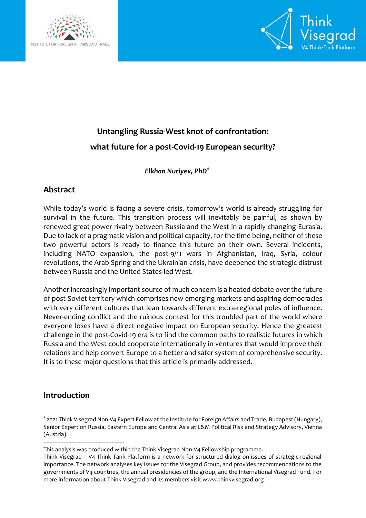



# **Untangling Russia-West knot of confrontation: what future for a post-Covid-19 European security?**

*Elkhan Nuriyev, PhD\**

# **Abstract**

While today's world is facing a severe crisis, tomorrow's world is already struggling for survival in the future. This transition process will inevitably be painful, as shown by renewed great power rivalry between Russia and the West in a rapidly changing Eurasia. Due to lack of a pragmatic vision and political capacity, for the time being, neither of these two powerful actors is ready to finance this future on their own. Several incidents, including NATO expansion, the post-9/11 wars in Afghanistan, Iraq, Syria, colour revolutions, the Arab Spring and the Ukrainian crisis, have deepened the strategic distrust between Russia and the United States-led West.

Another increasingly important source of much concern is a heated debate over the future of post-Soviet territory which comprises new emerging markets and aspiring democracies with very different cultures that lean towards different extra-regional poles of influence. Never-ending conflict and the ruinous contest for this troubled part of the world where everyone loses have a direct negative impact on European security. Hence the greatest challenge in the post-Covid-19 era is to find the common paths to realistic futures in which Russia and the West could cooperate internationally in ventures that would improve their relations and help convert Europe to a better and safer system of comprehensive security. It is to these major questions that this article is primarily addressed.

## **Introduction**

1

<sup>\*</sup> 2021 Think Visegrad Non-V4 Expert Fellow at the Institute for Foreign Affairs and Trade, Budapest (Hungary), Senior Expert on Russia, Eastern Europe and Central Asia at L&M Political Risk and Strategy Advisory, Vienna (Austria).

<sup>----------------------------------------------------</sup> This analysis was produced within the Think Visegrad Non-V4 Fellowship programme.

Think Visegrad – V4 Think Tank Platform is a network for structured dialog on issues of strategic regional importance. The network analyses key issues for the Visegrad Group, and provides recommendations to the governments of V4 countries, the annual presidencies of the group, and the International Visegrad Fund. For more information about Think Visegrad and its members visit www.thinkvisegrad.org .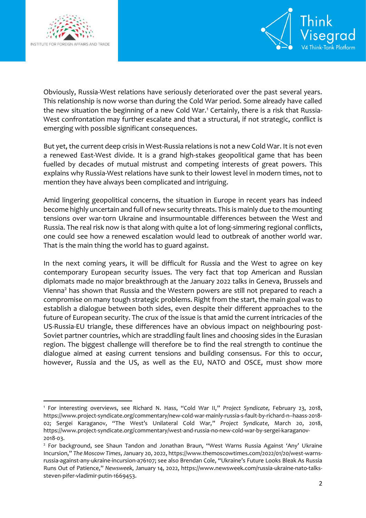

1



Obviously, Russia-West relations have seriously deteriorated over the past several years. This relationship is now worse than during the Cold War period. Some already have called the new situation the beginning of a new Cold War.<sup>1</sup> Certainly, there is a risk that Russia-West confrontation may further escalate and that a structural, if not strategic, conflict is emerging with possible significant consequences.

But yet, the current deep crisis in West-Russia relations is not a new Cold War. It is not even a renewed East-West divide. It is a grand high-stakes geopolitical game that has been fuelled by decades of mutual mistrust and competing interests of great powers. This explains why Russia-West relations have sunk to their lowest level in modern times, not to mention they have always been complicated and intriguing.

Amid lingering geopolitical concerns, the situation in Europe in recent years has indeed become highly uncertain and full of new security threats. This is mainly due to the mounting tensions over war-torn Ukraine and insurmountable differences between the West and Russia. The real risk now is that along with quite a lot of long-simmering regional conflicts, one could see how a renewed escalation would lead to outbreak of another world war. That is the main thing the world has to guard against.

In the next coming years, it will be difficult for Russia and the West to agree on key contemporary European security issues. The very fact that top American and Russian diplomats made no major breakthrough at the January 2022 talks in Geneva, Brussels and Vienna<sup>2</sup> has shown that Russia and the Western powers are still not prepared to reach a compromise on many tough strategic problems. Right from the start, the main goal was to establish a dialogue between both sides, even despite their different approaches to the future of European security. The crux of the issue is that amid the current intricacies of the US-Russia-EU triangle, these differences have an obvious impact on neighbouring post-Soviet partner countries, which are straddling fault lines and choosing sides in the Eurasian region. The biggest challenge will therefore be to find the real strength to continue the dialogue aimed at easing current tensions and building consensus. For this to occur, however, Russia and the US, as well as the EU, NATO and OSCE, must show more

<sup>1</sup> For interesting overviews, see Richard N. Hass, "Cold War II," *Project Syndicate*, February 23, 2018, [https://www.project-syndicate.org/commentary/new-cold-war-mainly-russia-s-fault-by-richard-n--haass-2018-](https://www.project-syndicate.org/commentary/new-cold-war-mainly-russia-s-fault-by-richard-n--haass-2018-02) [02;](https://www.project-syndicate.org/commentary/new-cold-war-mainly-russia-s-fault-by-richard-n--haass-2018-02) Sergei Karaganov, "The West's Unilateral Cold War," *Project Syndicate*, March 20, 2018, [https://www.project-syndicate.org/commentary/west-and-russia-no-new-cold-war-by-sergei-karaganov-](https://www.project-syndicate.org/commentary/west-and-russia-no-new-cold-war-by-sergei-karaganov-2018-03)[2018-03.](https://www.project-syndicate.org/commentary/west-and-russia-no-new-cold-war-by-sergei-karaganov-2018-03)

<sup>&</sup>lt;sup>2</sup> For background, see Shaun Tandon and Jonathan Braun, "West Warns Russia Against 'Any' Ukraine Incursion," *The Moscow Times*, January 20, 2022[, https://www.themoscowtimes.com/2022/01/20/west-warns](https://www.themoscowtimes.com/2022/01/20/west-warns-russia-against-any-ukraine-incursion-a76107)[russia-against-any-ukraine-incursion-a76107;](https://www.themoscowtimes.com/2022/01/20/west-warns-russia-against-any-ukraine-incursion-a76107) see also Brendan Cole, "Ukraine's Future Looks Bleak As Russia Runs Out of Patience," *Newsweek*, January 14, 2022, [https://www.newsweek.com/russia-ukraine-nato-talks](https://www.newsweek.com/russia-ukraine-nato-talks-steven-pifer-vladimir-putin-1669453)[steven-pifer-vladimir-putin-1669453.](https://www.newsweek.com/russia-ukraine-nato-talks-steven-pifer-vladimir-putin-1669453)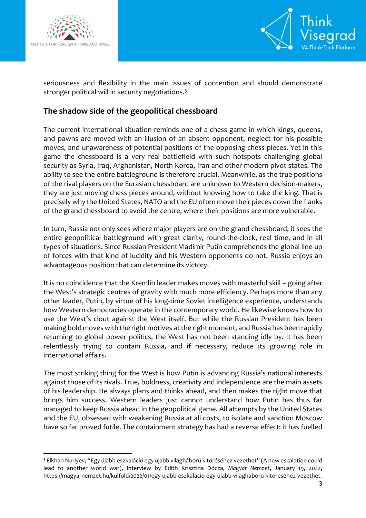

1



seriousness and flexibility in the main issues of contention and should demonstrate stronger political will in security negotiations.<sup>3</sup>

# **The shadow side of the geopolitical chessboard**

The current international situation reminds one of a chess game in which kings, queens, and pawns are moved with an illusion of an absent opponent, neglect for his possible moves, and unawareness of potential positions of the opposing chess pieces. Yet in this game the chessboard is a very real battlefield with such hotspots challenging global security as Syria, Iraq, Afghanistan, North Korea, Iran and other modern pivot states. The ability to see the entire battleground is therefore crucial. Meanwhile, as the true positions of the rival players on the Eurasian chessboard are unknown to Western decision-makers, they are just moving chess pieces around, without knowing how to take the king. That is precisely why the United States, NATO and the EU often move their pieces down the flanks of the grand chessboard to avoid the centre, where their positions are more vulnerable.

In turn, Russia not only sees where major players are on the grand chessboard, it sees the entire geopolitical battleground with great clarity, round-the-clock, real time, and in all types of situations. Since Russian President Vladimir Putin comprehends the global line-up of forces with that kind of lucidity and his Western opponents do not, Russia enjoys an advantageous position that can determine its victory.

It is no coincidence that the Kremlin leader makes moves with masterful skill – going after the West's strategic centres of gravity with much more efficiency. Perhaps more than any other leader, Putin, by virtue of his long-time Soviet intelligence experience, understands how Western democracies operate in the contemporary world. He likewise knows how to use the West's clout against the West itself. But while the Russian President has been making bold moves with the right motives at the right moment, and Russia has been rapidly returning to global power politics, the West has not been standing idly by. It has been relentlessly trying to contain Russia, and if necessary, reduce its growing role in international affairs.

The most striking thing for the West is how Putin is advancing Russia's national interests against those of its rivals. True, boldness, creativity and independence are the main assets of his leadership. He always plans and thinks ahead, and then makes the right move that brings him success. Western leaders just cannot understand how Putin has thus far managed to keep Russia ahead in the geopolitical game. All attempts by the United States and the EU, obsessed with weakening Russia at all costs, to isolate and sanction Moscow have so far proved futile. The containment strategy has had a reverse effect: it has fuelled

<sup>3</sup> Elkhan Nuriyev, "Egy újabb eszkaláció egy újabb világháború kitöréséhez vezethet" (A new escalation could lead to another world war), Interview by Edith Krisztina Dócza, *Magyar Nemzet*, January 19, 2022, [https://magyarnemzet.hu/kulfold/2022/01/egy-ujabb-eszkalacio-egy-ujabb-vilaghaboru-kitoresehez-vezethet.](https://magyarnemzet.hu/kulfold/2022/01/egy-ujabb-eszkalacio-egy-ujabb-vilaghaboru-kitoresehez-vezethet)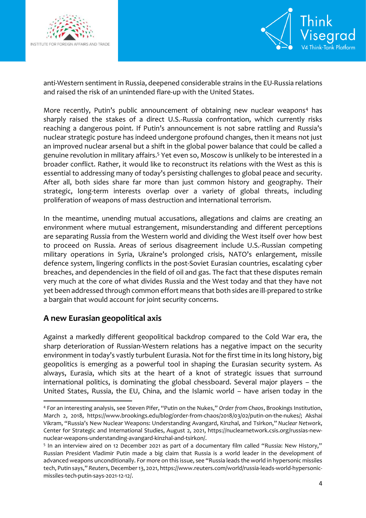



anti-Western sentiment in Russia, deepened considerable strains in the EU-Russia relations and raised the risk of an unintended flare-up with the United States.

More recently, Putin's public announcement of obtaining new nuclear weapons<sup>4</sup> has sharply raised the stakes of a direct U.S.-Russia confrontation, which currently risks reaching a dangerous point. If Putin's announcement is not sabre rattling and Russia's nuclear strategic posture has indeed undergone profound changes, then it means not just an improved nuclear arsenal but a shift in the global power balance that could be called a genuine revolution in military affairs.<sup>5</sup> Yet even so, Moscow is unlikely to be interested in a broader conflict. Rather, it would like to reconstruct its relations with the West as this is essential to addressing many of today's persisting challenges to global peace and security. After all, both sides share far more than just common history and geography. Their strategic, long-term interests overlap over a variety of global threats, including proliferation of weapons of mass destruction and international terrorism.

In the meantime, unending mutual accusations, allegations and claims are creating an environment where mutual estrangement, misunderstanding and different perceptions are separating Russia from the Western world and dividing the West itself over how best to proceed on Russia. Areas of serious disagreement include U.S.-Russian competing military operations in Syria, Ukraine's prolonged crisis, NATO's enlargement, missile defence system, lingering conflicts in the post-Soviet Eurasian countries, escalating cyber breaches, and dependencies in the field of oil and gas. The fact that these disputes remain very much at the core of what divides Russia and the West today and that they have not yet been addressed through common effort means that both sides are ill-prepared to strike a bargain that would account for joint security concerns.

#### **A new Eurasian geopolitical axis**

1

Against a markedly different geopolitical backdrop compared to the Cold War era, the sharp deterioration of Russian-Western relations has a negative impact on the security environment in today's vastly turbulent Eurasia. Not for the first time in its long history, big geopolitics is emerging as a powerful tool in shaping the Eurasian security system. As always, Eurasia, which sits at the heart of a knot of strategic issues that surround international politics, is dominating the global chessboard. Several major players – the United States, Russia, the EU, China, and the Islamic world – have arisen today in the

<sup>4</sup> For an interesting analysis, see Steven Pifer, "Putin on the Nukes," *Order from Chaos*, Brookings Institution, March 2, 2018, [https://www.brookings.edu/blog/order-from-chaos/2018/03/02/putin-on-the-nukes/;](https://www.brookings.edu/blog/order-from-chaos/2018/03/02/putin-on-the-nukes/) Akshai Vikram, "Russia's New Nuclear Weapons: Understanding Avangard, Kinzhal, and Tsirkon," *Nuclear Network*, Center for Strategic and International Studies, August 2, 2021, [https://nuclearnetwork.csis.org/russias-new](https://nuclearnetwork.csis.org/russias-new-nuclear-weapons-understanding-avangard-kinzhal-and-tsirkon/)[nuclear-weapons-understanding-avangard-kinzhal-and-tsirkon/.](https://nuclearnetwork.csis.org/russias-new-nuclear-weapons-understanding-avangard-kinzhal-and-tsirkon/)

<sup>&</sup>lt;sup>5</sup> In an interview aired on 12 December 2021 as part of a documentary film called "Russia: New History," Russian President Vladimir Putin made a big claim that Russia is a world leader in the development of advanced weapons unconditionally. For more on this issue, see "Russia leads the world in hypersonic missiles tech, Putin says," *Reuters*, December13, 2021[, https://www.reuters.com/world/russia-leads-world-hypersonic](https://www.reuters.com/world/russia-leads-world-hypersonic-missiles-tech-putin-says-2021-12-12/)[missiles-tech-putin-says-2021-12-12/.](https://www.reuters.com/world/russia-leads-world-hypersonic-missiles-tech-putin-says-2021-12-12/)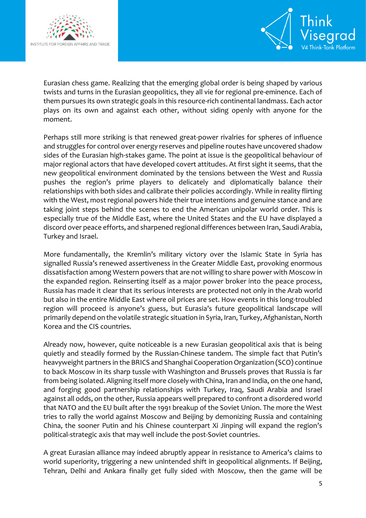



Eurasian chess game. Realizing that the emerging global order is being shaped by various twists and turns in the Eurasian geopolitics, they all vie for regional pre-eminence. Each of them pursues its own strategic goals in this resource-rich continental landmass. Each actor plays on its own and against each other, without siding openly with anyone for the moment.

Perhaps still more striking is that renewed great-power rivalries for spheres of influence and struggles for control over energy reserves and pipeline routes have uncovered shadow sides of the Eurasian high-stakes game. The point at issue is the geopolitical behaviour of major regional actors that have developed covert attitudes. At first sight it seems, that the new geopolitical environment dominated by the tensions between the West and Russia pushes the region's prime players to delicately and diplomatically balance their relationships with both sides and calibrate their policies accordingly. While in reality flirting with the West, most regional powers hide their true intentions and genuine stance and are taking joint steps behind the scenes to end the American unipolar world order. This is especially true of the Middle East, where the United States and the EU have displayed a discord over peace efforts, and sharpened regional differences between Iran, Saudi Arabia, Turkey and Israel.

More fundamentally, the Kremlin's military victory over the Islamic State in Syria has signalled Russia's renewed assertiveness in the Greater Middle East, provoking enormous dissatisfaction among Western powers that are not willing to share power with Moscow in the expanded region. Reinserting itself as a major power broker into the peace process, Russia has made it clear that its serious interests are protected not only in the Arab world but also in the entire Middle East where oil prices are set. How events in this long-troubled region will proceed is anyone's guess, but Eurasia's future geopolitical landscape will primarily depend on the volatile strategic situation in Syria, Iran, Turkey, Afghanistan, North Korea and the CIS countries.

Already now, however, quite noticeable is a new Eurasian geopolitical axis that is being quietly and steadily formed by the Russian-Chinese tandem. The simple fact that Putin's heavyweight partners in the BRICS and Shanghai Cooperation Organization (SCO) continue to back Moscow in its sharp tussle with Washington and Brussels proves that Russia is far from being isolated. Aligning itself more closely with China, Iran and India, on the one hand, and forging good partnership relationships with Turkey, Iraq, Saudi Arabia and Israel against all odds, on the other, Russia appears well prepared to confront a disordered world that NATO and the EU built after the 1991 breakup of the Soviet Union. The more the West tries to rally the world against Moscow and Beijing by demonizing Russia and containing China, the sooner Putin and his Chinese counterpart Xi Jinping will expand the region's political-strategic axis that may well include the post-Soviet countries.

A great Eurasian alliance may indeed abruptly appear in resistance to America's claims to world superiority, triggering a new unintended shift in geopolitical alignments. If Beijing, Tehran, Delhi and Ankara finally get fully sided with Moscow, then the game will be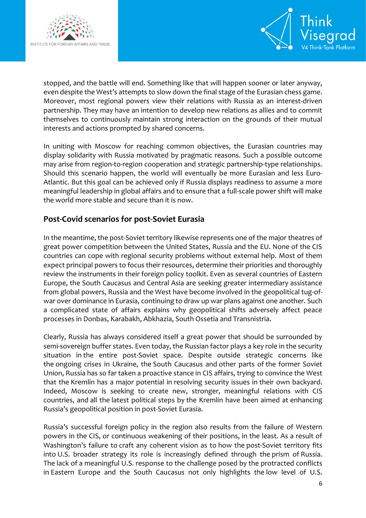



stopped, and the battle will end. Something like that will happen sooner or later anyway, even despite the West's attempts to slow down the final stage of the Eurasian chess game. Moreover, most regional powers view their relations with Russia as an interest-driven partnership. They may have an intention to develop new relations as allies and to commit themselves to continuously maintain strong interaction on the grounds of their mutual interests and actions prompted by shared concerns.

In uniting with Moscow for reaching common objectives, the Eurasian countries may display solidarity with Russia motivated by pragmatic reasons. Such a possible outcome may arise from region-to-region cooperation and strategic partnership-type relationships. Should this scenario happen, the world will eventually be more Eurasian and less Euro-Atlantic. But this goal can be achieved only if Russia displays readiness to assume a more meaningful leadership in global affairs and to ensure that a full-scale power shift will make the world more stable and secure than it is now.

### **Post-Covid scenarios for post-Soviet Eurasia**

In the meantime, the post-Soviet territory likewise represents one of the major theatres of great power competition between the United States, Russia and the EU. None of the CIS countries can cope with regional security problems without external help. Most of them expect principal powers to focus their resources, determine their priorities and thoroughly review the instruments in their foreign policy toolkit. Even as several countries of Eastern Europe, the South Caucasus and Central Asia are seeking greater intermediary assistance from global powers, Russia and the West have become involved in the geopolitical tug-ofwar over dominance in Eurasia, continuing to draw up war plans against one another. Such a complicated state of affairs explains why geopolitical shifts adversely affect peace processes in Donbas, Karabakh, Abkhazia, South Ossetia and Transnistria.

Clearly, Russia has always considered itself a great power that should be surrounded by semi-sovereign buffer states. Even today, the Russian factor plays a key role in the security situation in the entire post-Soviet space. Despite outside strategic concerns like the ongoing crises in Ukraine, the South Caucasus and other parts of the former Soviet Union, Russia has so far taken a proactive stance in CIS affairs, trying to convince the West that the Kremlin has a major potential in resolving security issues in their own backyard. Indeed, Moscow is seeking to create new, stronger, meaningful relations with CIS countries, and all the latest political steps by the Kremlin have been aimed at enhancing Russia's geopolitical position in post-Soviet Eurasia.

Russia's successful foreign policy in the region also results from the failure of Western powers in the CIS, or continuous weakening of their positions, in the least. As a result of Washington's failure to craft any coherent vision as to how the post-Soviet territory fits into U.S. broader strategy its role is increasingly defined through the prism of Russia. The lack of a meaningful U.S. response to the challenge posed by the protracted conflicts in Eastern Europe and the South Caucasus not only highlights the low level of U.S.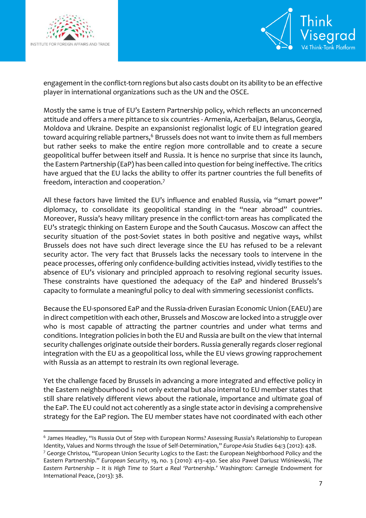

 $\overline{a}$ 



engagement in the conflict-torn regions but also casts doubt on its ability to be an effective player in international organizations such as the UN and the OSCE.

Mostly the same is true of EU's Eastern Partnership policy, which reflects an unconcerned attitude and offers a mere pittance to six countries - Armenia, Azerbaijan, Belarus, Georgia, Moldova and Ukraine. Despite an expansionist regionalist logic of EU integration geared toward acquiring reliable partners,<sup>6</sup> Brussels does not want to invite them as full members but rather seeks to make the entire region more controllable and to create a secure geopolitical buffer between itself and Russia. It is hence no surprise that since its launch, the Eastern Partnership (EaP) has been called into question for being ineffective. The critics have argued that the EU lacks the ability to offer its partner countries the full benefits of freedom, interaction and cooperation.<sup>7</sup>

All these factors have limited the EU's influence and enabled Russia, via "smart power" diplomacy, to consolidate its geopolitical standing in the "near abroad" countries. Moreover, Russia's heavy military presence in the conflict-torn areas has complicated the EU's strategic thinking on Eastern Europe and the South Caucasus. Moscow can affect the security situation of the post-Soviet states in both positive and negative ways, whilst Brussels does not have such direct leverage since the EU has refused to be a relevant security actor. The very fact that Brussels lacks the necessary tools to intervene in the peace processes, offering only confidence-building activities instead, vividly testifies to the absence of EU's visionary and principled approach to resolving regional security issues. These constraints have questioned the adequacy of the EaP and hindered Brussels's capacity to formulate a meaningful policy to deal with simmering secessionist conflicts.

Because the EU-sponsored EaP and the Russia-driven Eurasian Economic Union (EAEU) are in direct competition with each other, Brussels and Moscow are locked into a struggle over who is most capable of attracting the partner countries and under what terms and conditions. Integration policies in both the EU and Russia are built on the view that internal security challenges originate outside their borders. Russia generally regards closer regional integration with the EU as a geopolitical loss, while the EU views growing rapprochement with Russia as an attempt to restrain its own regional leverage.

Yet the challenge faced by Brussels in advancing a more integrated and effective policy in the Eastern neighbourhood is not only external but also internal to EU member states that still share relatively different views about the rationale, importance and ultimate goal of the EaP. The EU could not act coherently as a single state actor in devising a comprehensive strategy for the EaP region. The EU member states have not coordinated with each other

<sup>&</sup>lt;sup>6</sup> James Headley, "Is Russia Out of Step with European Norms? Assessing Russia's Relationship to European Identity, Values and Norms through the Issue of Self-Determination," *Europe-Asia Studies* 64:3 (2012): 428.

<sup>&</sup>lt;sup>7</sup> George Christou, "European Union Security Logics to the East: the European Neighborhood Policy and the Eastern Partnership." *European Security*, 19, no. 3 (2010): 413–430. See also Paweł Dariusz Wiśniewski, *The Eastern Partnership – It is High Time to Start a Real 'Partnership.'* Washington: Carnegie Endowment for International Peace, (2013): 38.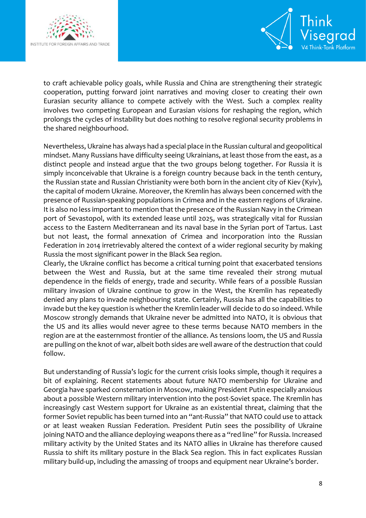



to craft achievable policy goals, while Russia and China are strengthening their strategic cooperation, putting forward joint narratives and moving closer to creating their own Eurasian security alliance to compete actively with the West. Such a complex reality involves two competing European and Eurasian visions for reshaping the region, which prolongs the cycles of instability but does nothing to resolve regional security problems in the shared neighbourhood.

Nevertheless, Ukraine has always had a special place in the Russian cultural and geopolitical mindset. Many Russians have difficulty seeing Ukrainians, at least those from the east, as a distinct people and instead argue that the two groups belong together. For Russia it is simply inconceivable that Ukraine is a foreign country because back in the tenth century, the Russian state and Russian Christianity were both born in the ancient city of Kiev (Kyiv), the capital of modern Ukraine. Moreover, the Kremlin has always been concerned with the presence of Russian-speaking populations in Crimea and in the eastern regions of Ukraine. It is also no less important to mention that the presence of the Russian Navy in the Crimean port of Sevastopol, with its extended lease until 2025, was strategically vital for Russian access to the Eastern Mediterranean and its naval base in the Syrian port of Tartus. Last but not least, the formal annexation of Crimea and incorporation into the Russian Federation in 2014 irretrievably altered the context of a wider regional security by making Russia the most significant power in the Black Sea region.

Clearly, the Ukraine conflict has become a critical turning point that exacerbated tensions between the West and Russia, but at the same time revealed their strong mutual dependence in the fields of energy, trade and security. While fears of a possible Russian military invasion of Ukraine continue to grow in the West, the Kremlin has repeatedly denied any plans to invade neighbouring state. Certainly, Russia has all the capabilities to invade but the key question is whether the Kremlin leader will decide to do so indeed. While Moscow strongly demands that Ukraine never be admitted into NATO, it is obvious that the US and its allies would never agree to these terms because NATO members in the region are at the easternmost frontier of the alliance. As tensions loom, the US and Russia are pulling on the knot of war, albeit both sides are well aware of the destruction that could follow.

But understanding of Russia's logic for the current crisis looks simple, though it requires a bit of explaining. Recent statements about future NATO membership for Ukraine and Georgia have sparked consternation in Moscow, making President Putin especially anxious about a possible Western military intervention into the post-Soviet space. The Kremlin has increasingly cast Western support for Ukraine as an existential threat, claiming that the former Soviet republic has been turned into an "ant-Russia" that NATO could use to attack or at least weaken Russian Federation. President Putin sees the possibility of Ukraine joining NATO and the alliance deploying weapons there as a "red line" for Russia. Increased military activity by the United States and its NATO allies in Ukraine has therefore caused Russia to shift its military posture in the Black Sea region. This in fact explicates Russian military build-up, including the amassing of troops and equipment near Ukraine's border.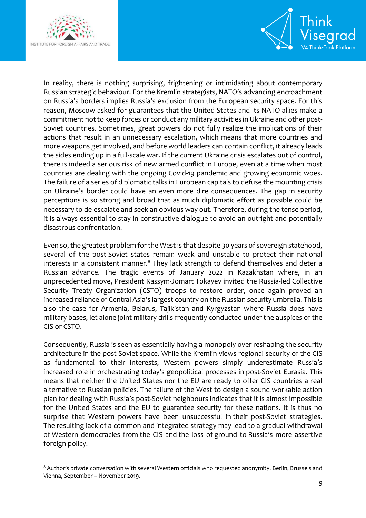

**.** 



In reality, there is nothing surprising, frightening or intimidating about contemporary Russian strategic behaviour. For the Kremlin strategists, NATO's advancing encroachment on Russia's borders implies Russia's exclusion from the European security space. For this reason, Moscow asked for guarantees that the United States and its NATO allies make a commitment not to keep forces or conduct any military activities in Ukraine and other post-Soviet countries. Sometimes, great powers do not fully realize the implications of their actions that result in an unnecessary escalation, which means that more countries and more weapons get involved, and before world leaders can contain conflict, it already leads the sides ending up in a full-scale war. If the current Ukraine crisis escalates out of control, there is indeed a serious risk of new armed conflict in Europe, even at a time when most countries are dealing with the ongoing Covid-19 pandemic and growing economic woes. The failure of a series of diplomatic talks in European capitals to defuse the mounting crisis on Ukraine's border could have an even more dire consequences. The gap in security perceptions is so strong and broad that as much diplomatic effort as possible could be necessary to de-escalate and seek an obvious way out. Therefore, during the tense period, it is always essential to stay in constructive dialogue to avoid an outright and potentially disastrous confrontation.

Even so, the greatest problem for the West is that despite 30 years of sovereign statehood, several of the post-Soviet states remain weak and unstable to protect their national interests in a consistent manner. $8$  They lack strength to defend themselves and deter a Russian advance. The tragic events of January 2022 in Kazakhstan where, in an unprecedented move, President Kassym-Jomart Tokayev invited the Russia-led Collective Security Treaty Organization (CSTO) troops to restore order, once again proved an increased reliance of Central Asia's largest country on the Russian security umbrella. This is also the case for Armenia, Belarus, Tajikistan and Kyrgyzstan where Russia does have military bases, let alone joint military drills frequently conducted under the auspices of the CIS or CSTO.

Consequently, Russia is seen as essentially having a monopoly over reshaping the security architecture in the post-Soviet space. While the Kremlin views regional security of the CIS as fundamental to their interests, Western powers simply underestimate Russia's increased role in orchestrating today's geopolitical processes in post-Soviet Eurasia. This means that neither the United States nor the EU are ready to offer CIS countries a real alternative to Russian policies. The failure of the West to design a sound workable action plan for dealing with Russia's post-Soviet neighbours indicates that it is almost impossible for the United States and the EU to guarantee security for these nations. It is thus no surprise that Western powers have been unsuccessful in their post-Soviet strategies. The resulting lack of a common and integrated strategy may lead to a gradual withdrawal of Western democracies from the CIS and the loss of ground to Russia's more assertive foreign policy.

<sup>8</sup> Author's private conversation with several Western officials who requested anonymity, Berlin, Brussels and Vienna, September – November 2019.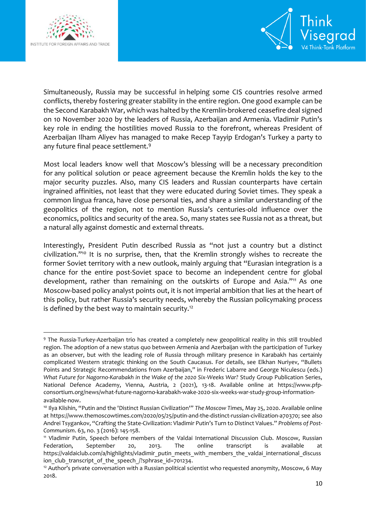



Simultaneously, Russia may be successful in helping some CIS countries resolve armed conflicts, thereby fostering greater stability in the entire region. One good example can be the Second Karabakh War, which was halted by the Kremlin-brokered ceasefire deal signed on 10 November 2020 by the leaders of Russia, Azerbaijan and Armenia. Vladimir Putin's key role in ending the hostilities moved Russia to the forefront, whereas President of Azerbaijan Ilham Aliyev has managed to make Recep Tayyip Erdogan's Turkey a party to any future final peace settlement.<sup>9</sup>

Most local leaders know well that Moscow's blessing will be a necessary precondition for any political solution or peace agreement because the Kremlin holds the key to the major security puzzles. Also, many CIS leaders and Russian counterparts have certain ingrained affinities, not least that they were educated during Soviet times. They speak a common lingua franca, have close personal ties, and share a similar understanding of the geopolitics of the region, not to mention Russia's centuries-old influence over the economics, politics and security of the area. So, many states see Russia not as a threat, but a natural ally against domestic and external threats.

Interestingly, President Putin described Russia as "not just a country but a distinct civilization." <sup>10</sup> It is no surprise, then, that the Kremlin strongly wishes to recreate the former Soviet territory with a new outlook, mainly arguing that "Eurasian integration is a chance for the entire post-Soviet space to become an independent centre for global development, rather than remaining on the outskirts of Europe and Asia."<sup>11</sup> As one Moscow-based policy analyst points out, it is not imperial ambition that lies at the heart of this policy, but rather Russia's security needs, whereby the Russian policymaking process is defined by the best way to maintain security.<sup>12</sup>

**<sup>.</sup>** <sup>9</sup> The Russia-Turkey-Azerbaijan trio has created a completely new geopolitical reality in this still troubled region. The adoption of a new status quo between Armenia and Azerbaijan with the participation of Turkey as an observer, but with the leading role of Russia through military presence in Karabakh has certainly complicated Western strategic thinking on the South Caucasus. For details, see Elkhan Nuriyev, "Bullets Points and Strategic Recommendations from Azerbaijan," in Frederic Labarre and George Niculescu (eds.) *What Future for Nagorno-Karabakh in the Wake of the 2020 Six-Weeks War?* Study Group Publication Series, National Defence Academy, Vienna, Austria, 2 (2021), 13-18. Available online at [https://www.pfp](https://www.pfp-consortium.org/news/what-future-nagorno-karabakh-wake-2020-six-weeks-war-study-group-information-available-now)[consortium.org/news/what-future-nagorno-karabakh-wake-2020-six-weeks-war-study-group-information](https://www.pfp-consortium.org/news/what-future-nagorno-karabakh-wake-2020-six-weeks-war-study-group-information-available-now)[available-now](https://www.pfp-consortium.org/news/what-future-nagorno-karabakh-wake-2020-six-weeks-war-study-group-information-available-now).

<sup>10</sup> Ilya Klishin, "Putin and the 'Distinct Russian Civilization'" *The Moscow Times*, May 25, 2020. Available online at [https://www.themoscowtimes.com/2020/05/25/putin-and-the-distinct-russian-civilization-a70370;](https://www.themoscowtimes.com/2020/05/25/putin-and-the-distinct-russian-civilization-a70370) see also Andrei Tsygankov, "Crafting the State-Civilization: Vladimir Putin's Turn to Distinct Values." *Problems of Post-Communism*. 63, no. 3 (2016): 145-158.

<sup>11</sup> Vladimir Putin, Speech before members of the Valdai International Discussion Club. Moscow, Russian Federation, September 20, 2013. The online transcript is available at [https://valdaiclub.com/a/highlights/vladimir\\_putin\\_meets\\_with\\_members\\_the\\_valdai\\_international\\_discuss](https://valdaiclub.com/a/highlights/vladimir_putin_meets_with_members_the_valdai_international_discussion_club_transcript_of_the_speech_/?sphrase_id=701234) ion club transcript of the speech /?sphrase id=701234.

 $12$  Author's private conversation with a Russian political scientist who requested anonymity, Moscow, 6 May 2018.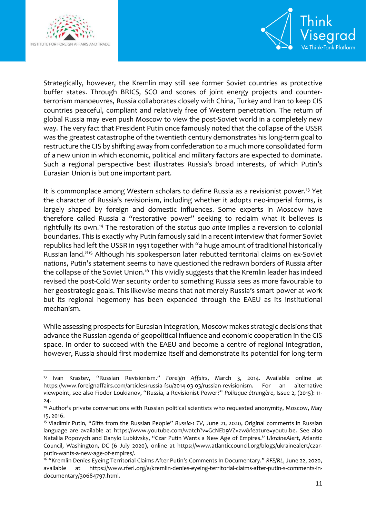

**.** 



Strategically, however, the Kremlin may still see former Soviet countries as protective buffer states. Through BRICS, SCO and scores of joint energy projects and counterterrorism manoeuvres, Russia collaborates closely with China, Turkey and Iran to keep CIS countries peaceful, compliant and relatively free of Western penetration. The return of global Russia may even push Moscow to view the post-Soviet world in a completely new way. The very fact that President Putin once famously noted that the collapse of the USSR was the greatest catastrophe of the twentieth century demonstrates his long-term goal to restructure the CIS by shifting away from confederation to a much more consolidated form of a new union in which economic, political and military factors are expected to dominate. Such a regional perspective best illustrates Russia's broad interests, of which Putin's Eurasian Union is but one important part.

It is commonplace among Western scholars to define Russia as a revisionist power.<sup>13</sup> Yet the character of Russia's revisionism, including whether it adopts neo-imperial forms, is largely shaped by foreign and domestic influences. Some experts in Moscow have therefore called Russia a "restorative power" seeking to reclaim what it believes is rightfully its own.<sup>14</sup> The restoration of the *status quo ante* implies a reversion to colonial boundaries. This is exactly why Putin famously said in a recent interview that former Soviet republics had left the USSR in 1991 together with "a huge amount of traditional historically Russian land."<sup>15</sup> Although his spokesperson later rebutted territorial claims on ex-Soviet nations, Putin's statement seems to have questioned the redrawn borders of Russia after the collapse of the Soviet Union.<sup>16</sup> This vividly suggests that the Kremlin leader has indeed revised the post-Cold War security order to something Russia sees as more favourable to her geostrategic goals. This likewise means that not merely Russia's smart power at work but its regional hegemony has been expanded through the EAEU as its institutional mechanism.

While assessing prospects for Eurasian integration, Moscow makes strategic decisions that advance the Russian agenda of geopolitical influence and economic cooperation in the CIS space. In order to succeed with the EAEU and become a centre of regional integration, however, Russia should first modernize itself and demonstrate its potential for long-term

<sup>13</sup> Ivan Krastev, "Russian Revisionism." *Foreign Affairs*, March 3, 2014. Available online at [https://www.foreignaffairs.com/articles/russia-fsu/2014-03-03/russian-revisionism.](https://www.foreignaffairs.com/articles/russia-fsu/2014-03-03/russian-revisionism) For an alternative viewpoint, see also Fiodor Loukianov, "Russia, a Revisionist Power?" *[Politique étrangère](https://www.cairn-int.info/journal-politique-etrangere.htm)*, Issue 2, (2015): 11- 24.

<sup>14</sup> Author's private conversations with Russian political scientists who requested anonymity, Moscow, May 15, 2016.

<sup>15</sup> Vladimir Putin, "Gifts from the Russian People" *Russia-1 TV*, June 21, 2020, Original comments in Russian language are available at [https://www.youtube.com/watch?v=GcNEb9VZvzw&feature=youtu.be.](https://www.youtube.com/watch?v=GcNEb9VZvzw&feature=youtu.be) See also Nataliia Popovych and Danylo Lubkivsky, "Czar Putin Wants a New Age of Empires." *UkraineAlert*, Atlantic Council, Washington, DC (6 July 2020), online at [https://www.atlanticcouncil.org/blogs/ukrainealert/czar](https://www.atlanticcouncil.org/blogs/ukrainealert/czar-putin-wants-a-new-age-of-empires/)[putin-wants-a-new-age-of-empires/.](https://www.atlanticcouncil.org/blogs/ukrainealert/czar-putin-wants-a-new-age-of-empires/)

<sup>16</sup> "Kremlin Denies Eyeing Territorial Claims After Putin's Comments In Documentary." *RFE/RL*, June 22, 2020, available at [https://www.rferl.org/a/kremlin-denies-eyeing-territorial-claims-after-putin-s-comments-in](https://www.rferl.org/a/kremlin-denies-eyeing-territorial-claims-after-putin-s-comments-in-documentary/30684797.html)[documentary/30684797.html.](https://www.rferl.org/a/kremlin-denies-eyeing-territorial-claims-after-putin-s-comments-in-documentary/30684797.html)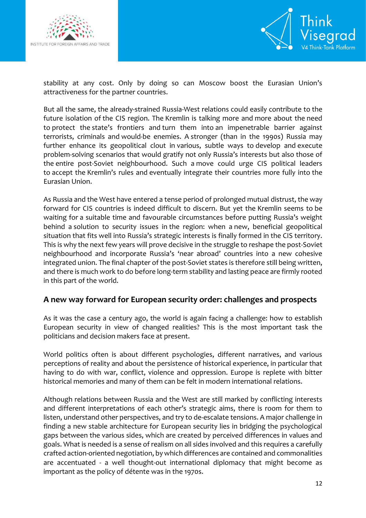



stability at any cost. Only by doing so can Moscow boost the Eurasian Union's attractiveness for the partner countries.

But all the same, the already-strained Russia-West relations could easily contribute to the future isolation of the CIS region. The Kremlin is talking more and more about the need to protect the state's frontiers and turn them into an impenetrable barrier against terrorists, criminals and would-be enemies. A stronger (than in the 1990s) Russia may further enhance its geopolitical clout in various, subtle ways to develop and execute problem-solving scenarios that would gratify not only Russia's interests but also those of the entire post-Soviet neighbourhood. Such a move could urge CIS political leaders to accept the Kremlin's rules and eventually integrate their countries more fully into the Eurasian Union.

As Russia and the West have entered a tense period of prolonged mutual distrust, the way forward for CIS countries is indeed difficult to discern. But yet the Kremlin seems to be waiting for a suitable time and favourable circumstances before putting Russia's weight behind a solution to security issues in the region: when a new, beneficial geopolitical situation that fits well into Russia's strategic interests is finally formed in the CIS territory. This is why the next few years will prove decisive in the struggle to reshape the post-Soviet neighbourhood and incorporate Russia's 'near abroad' countries into a new cohesive integrated union. The final chapter of the post-Soviet states is therefore still being written, and there is much work to do before long-term stability and lasting peace are firmly rooted in this part of the world.

#### **A new way forward for European security order: challenges and prospects**

As it was the case a century ago, the world is again facing a challenge: how to establish European security in view of changed realities? This is the most important task the politicians and decision makers face at present.

World politics often is about different psychologies, different narratives, and various perceptions of reality and about the persistence of historical experience, in particular that having to do with war, conflict, violence and oppression. Europe is replete with bitter historical memories and many of them can be felt in modern international relations.

Although relations between Russia and the West are still marked by conflicting interests and different interpretations of each other's strategic aims, there is room for them to listen, understand other perspectives, and try to de-escalate tensions. A major challenge in finding a new stable architecture for European security lies in bridging the psychological gaps between the various sides, which are created by perceived differences in values and goals. What is needed is a sense of realism on all sides involved and this requires a carefully crafted action-oriented negotiation, by which differences are contained and commonalities are accentuated - a well thought-out international diplomacy that might become as important as the policy of détente was in the 1970s.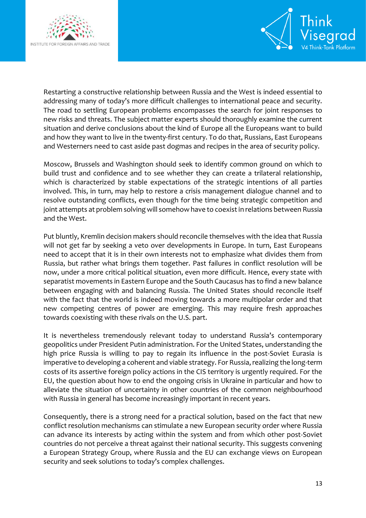



Restarting a constructive relationship between Russia and the West is indeed essential to addressing many of today's more difficult challenges to international peace and security. The road to settling European problems encompasses the search for joint responses to new risks and threats. The subject matter experts should thoroughly examine the current situation and derive conclusions about the kind of Europe all the Europeans want to build and how they want to live in the twenty-first century. To do that, Russians, East Europeans and Westerners need to cast aside past dogmas and recipes in the area of security policy.

Moscow, Brussels and Washington should seek to identify common ground on which to build trust and confidence and to see whether they can create a trilateral relationship, which is characterized by stable expectations of the strategic intentions of all parties involved. This, in turn, may help to restore a crisis management dialogue channel and to resolve outstanding conflicts, even though for the time being strategic competition and joint attempts at problem solving will somehow have to coexist in relations between Russia and the West.

Put bluntly, Kremlin decision makers should reconcile themselves with the idea that Russia will not get far by seeking a veto over developments in Europe. In turn, East Europeans need to accept that it is in their own interests not to emphasize what divides them from Russia, but rather what brings them together. Past failures in conflict resolution will be now, under a more critical political situation, even more difficult. Hence, every state with separatist movements in Eastern Europe and the South Caucasus has to find a new balance between engaging with and balancing Russia. The United States should reconcile itself with the fact that the world is indeed moving towards a more multipolar order and that new competing centres of power are emerging. This may require fresh approaches towards coexisting with these rivals on the U.S. part.

It is nevertheless tremendously relevant today to understand Russia's contemporary geopolitics under President Putin administration. For the United States, understanding the high price Russia is willing to pay to regain its influence in the post-Soviet Eurasia is imperative to developing a coherent and viable strategy. For Russia, realizing the long-term costs of its assertive foreign policy actions in the CIS territory is urgently required. For the EU, the question about how to end the ongoing crisis in Ukraine in particular and how to alleviate the situation of uncertainty in other countries of the common neighbourhood with Russia in general has become increasingly important in recent years.

Consequently, there is a strong need for a practical solution, based on the fact that new conflict resolution mechanisms can stimulate a new European security order where Russia can advance its interests by acting within the system and from which other post-Soviet countries do not perceive a threat against their national security. This suggests convening a European Strategy Group, where Russia and the EU can exchange views on European security and seek solutions to today's complex challenges.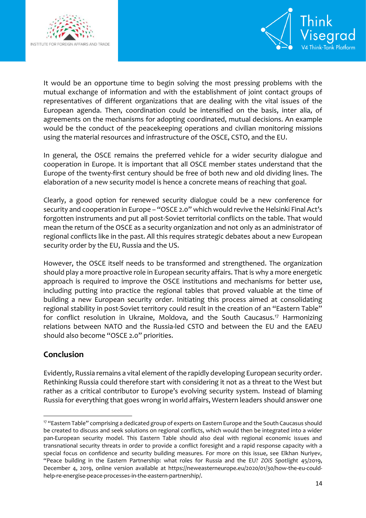



It would be an opportune time to begin solving the most pressing problems with the mutual exchange of information and with the establishment of joint contact groups of representatives of different organizations that are dealing with the vital issues of the European agenda. Then, coordination could be intensified on the basis, inter alia, of agreements on the mechanisms for adopting coordinated, mutual decisions. An example would be the conduct of the peacekeeping operations and civilian monitoring missions using the material resources and infrastructure of the OSCE, CSTO, and the EU.

In general, the OSCE remains the preferred vehicle for a wider security dialogue and cooperation in Europe. It is important that all OSCE member states understand that the Europe of the twenty-first century should be free of both new and old dividing lines. The elaboration of a new security model is hence a concrete means of reaching that goal.

Clearly, a good option for renewed security dialogue could be a new conference for security and cooperation in Europe – "OSCE 2.0" which would revive the Helsinki Final Act's forgotten instruments and put all post-Soviet territorial conflicts on the table. That would mean the return of the OSCE as a security organization and not only as an administrator of regional conflicts like in the past. All this requires strategic debates about a new European security order by the EU, Russia and the US.

However, the OSCE itself needs to be transformed and strengthened. The organization should play a more proactive role in European security affairs. That is why a more energetic approach is required to improve the OSCE institutions and mechanisms for better use, including putting into practice the regional tables that proved valuable at the time of building a new European security order. Initiating this process aimed at consolidating regional stability in post-Soviet territory could result in the creation of an "Eastern Table" for conflict resolution in Ukraine, Moldova, and the South Caucasus.<sup>17</sup> Harmonizing relations between NATO and the Russia-led CSTO and between the EU and the EAEU should also become "OSCE 2.0" priorities.

## **Conclusion**

Evidently, Russia remains a vital element of the rapidly developing European security order. Rethinking Russia could therefore start with considering it not as a threat to the West but rather as a critical contributor to Europe's evolving security system. Instead of blaming Russia for everything that goes wrong in world affairs, Western leaders should answer one

<sup>1</sup> <sup>17</sup> "Eastern Table" comprising a dedicated group of experts on Eastern Europe and the South Caucasus should be created to discuss and seek solutions on regional conflicts, which would then be integrated into a wider pan-European security model. This Eastern Table should also deal with regional economic issues and transnational security threats in order to provide a conflict foresight and a rapid response capacity with a special focus on confidence and security building measures. For more on this issue, see Elkhan Nuriyev, "Peace building in the Eastern Partnership: what roles for Russia and the EU? *ZOiS Spotlight* 45/2019, December 4, 2019, online version available at [https://neweasterneurope.eu/2020/01/30/how-the-eu-could](https://neweasterneurope.eu/2020/01/30/how-the-eu-could-help-re-energise-peace-processes-in-the-eastern-partnership/)[help-re-energise-peace-processes-in-the-eastern-partnership/.](https://neweasterneurope.eu/2020/01/30/how-the-eu-could-help-re-energise-peace-processes-in-the-eastern-partnership/)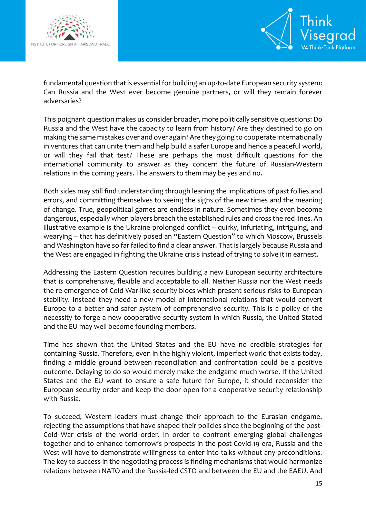



fundamental question that is essential for building an up-to-date European security system: Can Russia and the West ever become genuine partners, or will they remain forever adversaries?

This poignant question makes us consider broader, more politically sensitive questions: Do Russia and the West have the capacity to learn from history? Are they destined to go on making the same mistakes over and over again? Are they going to cooperate internationally in ventures that can unite them and help build a safer Europe and hence a peaceful world, or will they fail that test? These are perhaps the most difficult questions for the international community to answer as they concern the future of Russian-Western relations in the coming years. The answers to them may be yes and no.

Both sides may still find understanding through leaning the implications of past follies and errors, and committing themselves to seeing the signs of the new times and the meaning of change. True, geopolitical games are endless in nature. Sometimes they even become dangerous, especially when players breach the established rules and cross the red lines. An illustrative example is the Ukraine prolonged conflict – quirky, infuriating, intriguing, and wearying – that has definitively posed an "Eastern Question" to which Moscow, Brussels and Washington have so far failed to find a clear answer. That is largely because Russia and the West are engaged in fighting the Ukraine crisis instead of trying to solve it in earnest.

Addressing the Eastern Question requires building a new European security architecture that is comprehensive, flexible and acceptable to all. Neither Russia nor the West needs the re-emergence of Cold War-like security blocs which present serious risks to European stability. Instead they need a new model of international relations that would convert Europe to a better and safer system of comprehensive security. This is a policy of the necessity to forge a new cooperative security system in which Russia, the United Stated and the EU may well become founding members.

Time has shown that the United States and the EU have no credible strategies for containing Russia. Therefore, even in the highly violent, imperfect world that exists today, finding a middle ground between reconciliation and confrontation could be a positive outcome. Delaying to do so would merely make the endgame much worse. If the United States and the EU want to ensure a safe future for Europe, it should reconsider the European security order and keep the door open for a cooperative security relationship with Russia.

To succeed, Western leaders must change their approach to the Eurasian endgame, rejecting the assumptions that have shaped their policies since the beginning of the post-Cold War crisis of the world order. In order to confront emerging global challenges together and to enhance tomorrow's prospects in the post-Covid-19 era, Russia and the West will have to demonstrate willingness to enter into talks without any preconditions. The key to success in the negotiating process is finding mechanisms that would harmonize relations between NATO and the Russia-led CSTO and between the EU and the EAEU. And